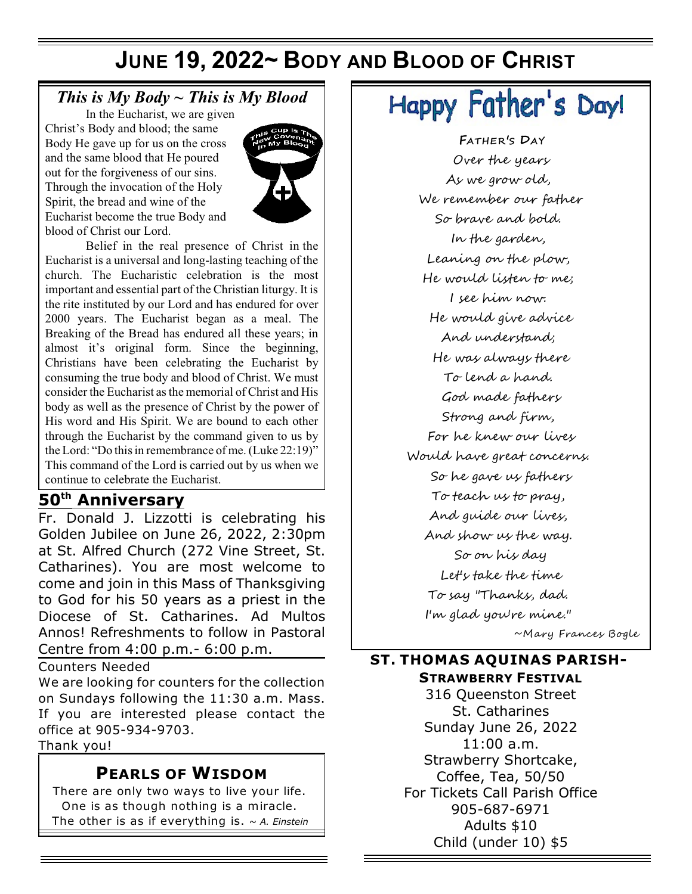## **JUNE 19, 2022~ BODY AND BLOOD OF CHRIST**

## *This is My Body ~ This is My Blood*

In the Eucharist, we are given Christ's Body and blood; the same Body He gave up for us on the cross and the same blood that He poured out for the forgiveness of our sins. Through the invocation of the Holy Spirit, the bread and wine of the Eucharist become the true Body and blood of Christ our Lord.



Belief in the real presence of Christ in the Eucharist is a universal and long-lasting teaching of the church. The Eucharistic celebration is the most important and essential part of the Christian liturgy. It is the rite instituted by our Lord and has endured for over 2000 years. The Eucharist began as a meal. The Breaking of the Bread has endured all these years; in almost it's original form. Since the beginning, Christians have been celebrating the Eucharist by consuming the true body and blood of Christ. We must consider the Eucharist as the memorial of Christ and His body as well as the presence of Christ by the power of His word and His Spirit. We are bound to each other through the Eucharist by the command given to us by the Lord: "Do this in remembrance of me. (Luke 22:19)" This command of the Lord is carried out by us when we continue to celebrate the Eucharist.

## $50<sup>th</sup>$  Anniversary

Fr. Donald J. Lizzotti is celebrating his Golden Jubilee on June 26, 2022, 2:30pm at St. Alfred Church (272 Vine Street, St. Catharines). You are most welcome to come and join in this Mass of Thanksgiving to God for his 50 years as a priest in the Diocese of St. Catharines. Ad Multos Annos! Refreshments to follow in Pastoral Centre from 4:00 p.m.- 6:00 p.m.

Counters Needed

We are looking for counters for the collection on Sundays following the 11:30 a.m. Mass. If you are interested please contact the office at 905-934-9703.

Thank you!

#### **PEARLS OF WISDOM**

There are only two ways to live your life. One is as though nothing is a miracle. The other is as if everything is. ~ *A. Einstein*

# Happy Father's Day!

**FATHER'S DAY** *Over the years As we grow old, We remember our father So brave and bold. In the garden, Leaning on the plow, He would listen to me; I see him now. He would give advice And understand; He was always there To lend a hand. God made fathers Strong and firm, For he knew our lives Would have great concerns. So he gave us fathers To teach us to pray, And guide our lives, And show us the way. So on his day Let's take the time To say "Thanks, dad. I'm glad you're mine."* 

~Mary Frances Bogle

#### **ST. THOMAS AQUINAS PARISH-**

**STRAWBERRY FESTIVAL**

316 Queenston Street St. Catharines Sunday June 26, 2022 11:00 a.m. Strawberry Shortcake, Coffee, Tea, 50/50 For Tickets Call Parish Office 905-687-6971 Adults \$10 Child (under 10) \$5